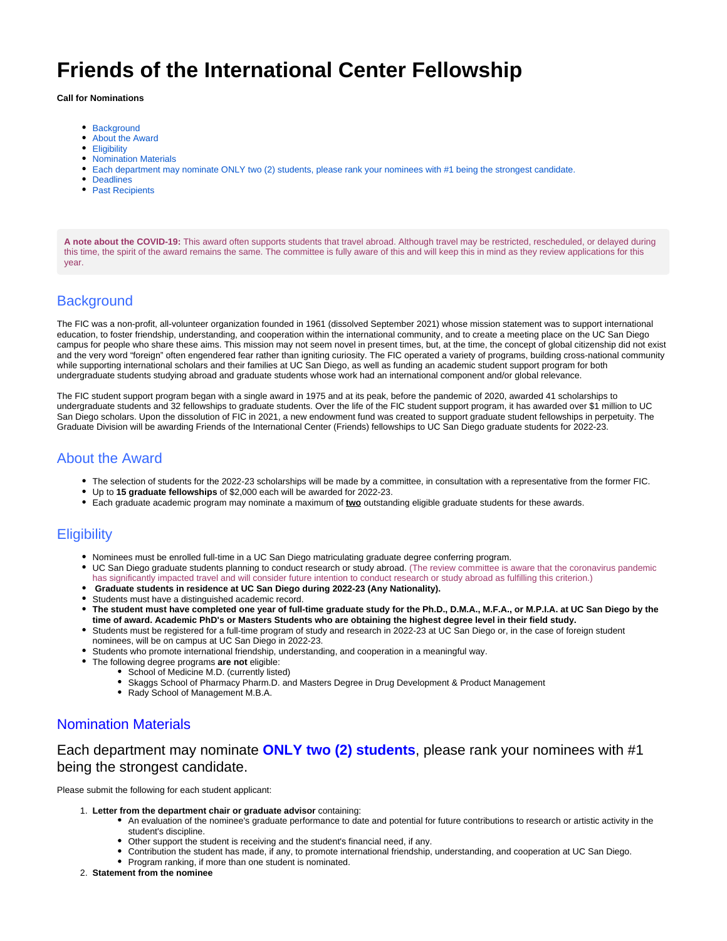# **Friends of the International Center Fellowship**

**Call for Nominations**

- [Background](#page-0-0)
- [About the Award](#page-0-1)
- [Eligibility](#page-0-2)
- **[Nomination Materials](#page-0-3)**
- [Each department may nominate ONLY two \(2\) students, please rank your nominees with #1 being the strongest candidate.](#page-0-4)
- [Deadlines](#page-1-0)
- [Past Recipients](#page-1-1)

**A note about the COVID-19:** This award often supports students that travel abroad. Although travel may be restricted, rescheduled, or delayed during this time, the spirit of the award remains the same. The committee is fully aware of this and will keep this in mind as they review applications for this year.

# <span id="page-0-0"></span>**Background**

The FIC was a non-profit, all-volunteer organization founded in 1961 (dissolved September 2021) whose mission statement was to support international education, to foster friendship, understanding, and cooperation within the international community, and to create a meeting place on the UC San Diego campus for people who share these aims. This mission may not seem novel in present times, but, at the time, the concept of global citizenship did not exist and the very word "foreign" often engendered fear rather than igniting curiosity. The FIC operated a variety of programs, building cross-national community while supporting international scholars and their families at UC San Diego, as well as funding an academic student support program for both undergraduate students studying abroad and graduate students whose work had an international component and/or global relevance.

The FIC student support program began with a single award in 1975 and at its peak, before the pandemic of 2020, awarded 41 scholarships to undergraduate students and 32 fellowships to graduate students. Over the life of the FIC student support program, it has awarded over \$1 million to UC San Diego scholars. Upon the dissolution of FIC in 2021, a new endowment fund was created to support graduate student fellowships in perpetuity. The Graduate Division will be awarding Friends of the International Center (Friends) fellowships to UC San Diego graduate students for 2022-23.

## <span id="page-0-1"></span>About the Award

- The selection of students for the 2022-23 scholarships will be made by a committee, in consultation with a representative from the former FIC.
- Up to **15 graduate fellowships** of \$2,000 each will be awarded for 2022-23.
- Each graduate academic program may nominate a maximum of **two** outstanding eligible graduate students for these awards.

# <span id="page-0-2"></span>**Eligibility**

- Nominees must be enrolled full-time in a UC San Diego matriculating graduate degree conferring program.
- UC San Diego graduate students planning to conduct research or study abroad. (The review committee is aware that the coronavirus pandemic has significantly impacted travel and will consider future intention to conduct research or study abroad as fulfilling this criterion.)
- **Graduate students in residence at UC San Diego during 2022-23 (Any Nationality).**
- Students must have a distinguished academic record.
- **The student must have completed one year of full-time graduate study for the Ph.D., D.M.A., M.F.A., or M.P.I.A. at UC San Diego by the time of award. Academic PhD's or Masters Students who are obtaining the highest degree level in their field study.**
- Students must be registered for a full-time program of study and research in 2022-23 at UC San Diego or, in the case of foreign student nominees, will be on campus at UC San Diego in 2022-23.
- Students who promote international friendship, understanding, and cooperation in a meaningful way.
- The following degree programs **are not** eligible:
	- School of Medicine M.D. (currently listed)
	- Skaggs School of Pharmacy Pharm.D. and Masters Degree in Drug Development & Product Management
	- Rady School of Management M.B.A.

#### <span id="page-0-3"></span>Nomination Materials

## <span id="page-0-4"></span>Each department may nominate **ONLY two (2) students**, please rank your nominees with #1 being the strongest candidate.

Please submit the following for each student applicant:

- 1. **Letter from the department chair or graduate advisor** containing:
	- An evaluation of the nominee's graduate performance to date and potential for future contributions to research or artistic activity in the student's discipline.
	- Other support the student is receiving and the student's financial need, if any.
	- Contribution the student has made, if any, to promote international friendship, understanding, and cooperation at UC San Diego.
	- Program ranking, if more than one student is nominated.
- 2. **Statement from the nominee**